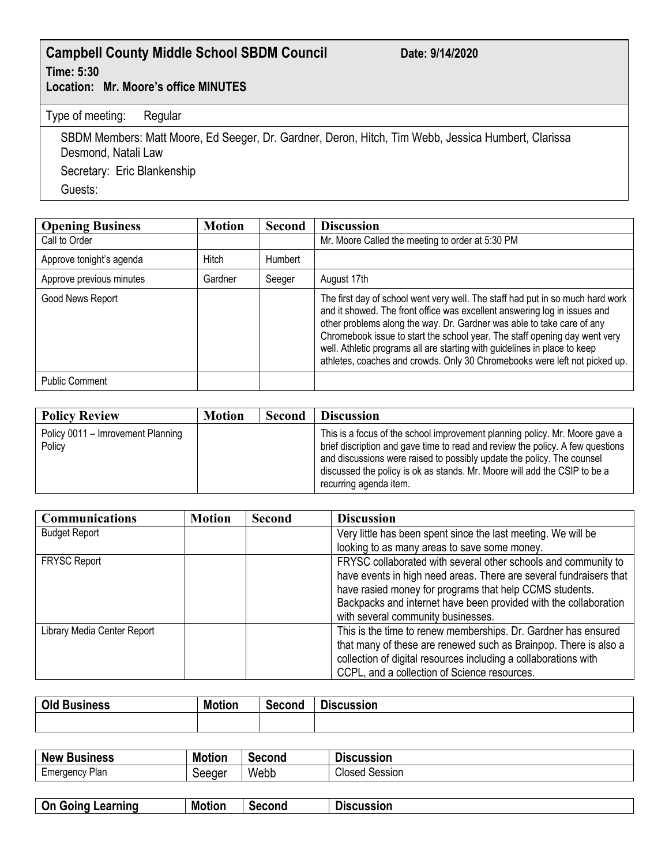## **Campbell County Middle School SBDM Council Date: 9/14/2020 Time: 5:30**

**Location: Mr. Moore's office MINUTES**

Type of meeting: Regular

SBDM Members: Matt Moore, Ed Seeger, Dr. Gardner, Deron, Hitch, Tim Webb, Jessica Humbert, Clarissa Desmond, Natali Law Secretary: Eric Blankenship

Guests:

| <b>Opening Business</b>  | <b>Motion</b> | <b>Second</b> | <b>Discussion</b>                                                                                                                                                                                                                                                                                                                                                                                                                                                              |
|--------------------------|---------------|---------------|--------------------------------------------------------------------------------------------------------------------------------------------------------------------------------------------------------------------------------------------------------------------------------------------------------------------------------------------------------------------------------------------------------------------------------------------------------------------------------|
| Call to Order            |               |               | Mr. Moore Called the meeting to order at 5:30 PM                                                                                                                                                                                                                                                                                                                                                                                                                               |
| Approve tonight's agenda | Hitch         | Humbert       |                                                                                                                                                                                                                                                                                                                                                                                                                                                                                |
| Approve previous minutes | Gardner       | Seeger        | August 17th                                                                                                                                                                                                                                                                                                                                                                                                                                                                    |
| Good News Report         |               |               | The first day of school went very well. The staff had put in so much hard work<br>and it showed. The front office was excellent answering log in issues and<br>other problems along the way. Dr. Gardner was able to take care of any<br>Chromebook issue to start the school year. The staff opening day went very<br>well. Athletic programs all are starting with guidelines in place to keep<br>athletes, coaches and crowds. Only 30 Chromebooks were left not picked up. |
| <b>Public Comment</b>    |               |               |                                                                                                                                                                                                                                                                                                                                                                                                                                                                                |

| <b>Policy Review</b>                        | <b>Motion</b> | <b>Second</b> | <b>Discussion</b>                                                                                                                                                                                                                                                                                                                              |
|---------------------------------------------|---------------|---------------|------------------------------------------------------------------------------------------------------------------------------------------------------------------------------------------------------------------------------------------------------------------------------------------------------------------------------------------------|
| Policy 0011 - Imrovement Planning<br>Policy |               |               | This is a focus of the school improvement planning policy. Mr. Moore gave a<br>brief discription and gave time to read and review the policy. A few questions<br>and discussions were raised to possibly update the policy. The counsel<br>discussed the policy is ok as stands. Mr. Moore will add the CSIP to be a<br>recurring agenda item. |

| <b>Communications</b>       | <b>Motion</b> | <b>Second</b> | <b>Discussion</b>                                                  |
|-----------------------------|---------------|---------------|--------------------------------------------------------------------|
| <b>Budget Report</b>        |               |               | Very little has been spent since the last meeting. We will be      |
|                             |               |               | looking to as many areas to save some money.                       |
| <b>FRYSC Report</b>         |               |               | FRYSC collaborated with several other schools and community to     |
|                             |               |               | have events in high need areas. There are several fundraisers that |
|                             |               |               | have rasied money for programs that help CCMS students.            |
|                             |               |               | Backpacks and internet have been provided with the collaboration   |
|                             |               |               | with several community businesses.                                 |
| Library Media Center Report |               |               | This is the time to renew memberships. Dr. Gardner has ensured     |
|                             |               |               | that many of these are renewed such as Brainpop. There is also a   |
|                             |               |               | collection of digital resources including a collaborations with    |
|                             |               |               | CCPL, and a collection of Science resources.                       |

| Old<br><b>Business</b> | <b>Motion</b> | Second | <b>Discussion</b> |
|------------------------|---------------|--------|-------------------|
|                        |               |        |                   |

| <b>Business</b><br><b>New</b> | <b>Motion</b>    | Second | --<br>scussion<br>JIS    |
|-------------------------------|------------------|--------|--------------------------|
| Plar<br>Emergency             | .annar<br>occuci | Webb   | Closed<br>Session<br>υσυ |

| <b>On Going</b><br>∟earninɑ | <b>Motion</b> | econd<br>-305 | cussion |
|-----------------------------|---------------|---------------|---------|
|                             |               |               |         |